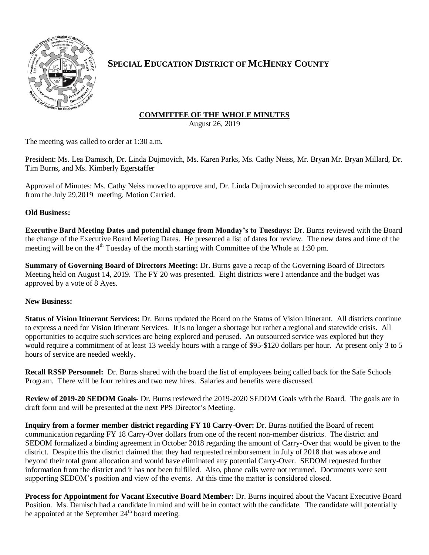

# **SPECIAL EDUCATION DISTRICT OF MCHENRY COUNTY**

## **COMMITTEE OF THE WHOLE MINUTES**

August 26, 2019

The meeting was called to order at 1:30 a.m.

President: Ms. Lea Damisch, Dr. Linda Dujmovich, Ms. Karen Parks, Ms. Cathy Neiss, Mr. Bryan Mr. Bryan Millard, Dr. Tim Burns, and Ms. Kimberly Egerstaffer

Approval of Minutes: Ms. Cathy Neiss moved to approve and, Dr. Linda Dujmovich seconded to approve the minutes from the July 29,2019 meeting. Motion Carried.

### **Old Business:**

**Executive Bard Meeting Dates and potential change from Monday's to Tuesdays:** Dr. Burns reviewed with the Board the change of the Executive Board Meeting Dates. He presented a list of dates for review. The new dates and time of the meeting will be on the 4<sup>th</sup> Tuesday of the month starting with Committee of the Whole at 1:30 pm.

**Summary of Governing Board of Directors Meeting:** Dr. Burns gave a recap of the Governing Board of Directors Meeting held on August 14, 2019. The FY 20 was presented. Eight districts were I attendance and the budget was approved by a vote of 8 Ayes.

### **New Business:**

**Status of Vision Itinerant Services:** Dr. Burns updated the Board on the Status of Vision Itinerant. All districts continue to express a need for Vision Itinerant Services. It is no longer a shortage but rather a regional and statewide crisis. All opportunities to acquire such services are being explored and perused. An outsourced service was explored but they would require a commitment of at least 13 weekly hours with a range of \$95-\$120 dollars per hour. At present only 3 to 5 hours of service are needed weekly.

**Recall RSSP Personnel:** Dr. Burns shared with the board the list of employees being called back for the Safe Schools Program. There will be four rehires and two new hires. Salaries and benefits were discussed.

**Review of 2019-20 SEDOM Goals-** Dr. Burns reviewed the 2019-2020 SEDOM Goals with the Board. The goals are in draft form and will be presented at the next PPS Director's Meeting.

**Inquiry from a former member district regarding FY 18 Carry-Over:** Dr. Burns notified the Board of recent communication regarding FY 18 Carry-Over dollars from one of the recent non-member districts. The district and SEDOM formalized a binding agreement in October 2018 regarding the amount of Carry-Over that would be given to the district. Despite this the district claimed that they had requested reimbursement in July of 2018 that was above and beyond their total grant allocation and would have eliminated any potential Carry-Over. SEDOM requested further information from the district and it has not been fulfilled. Also, phone calls were not returned. Documents were sent supporting SEDOM's position and view of the events. At this time the matter is considered closed.

**Process for Appointment for Vacant Executive Board Member:** Dr. Burns inquired about the Vacant Executive Board Position. Ms. Damisch had a candidate in mind and will be in contact with the candidate. The candidate will potentially be appointed at the September  $24<sup>th</sup>$  board meeting.